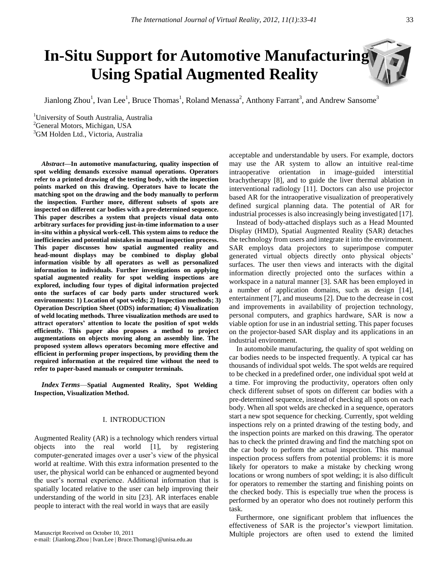# **In-Situ Support for Automotive Manufacturing Using Spatial Augmented Reality**

Jianlong Zhou<sup>1</sup>, Ivan Lee<sup>1</sup>, Bruce Thomas<sup>1</sup>, Roland Menassa<sup>2</sup>, Anthony Farrant<sup>3</sup>, and Andrew Sansome<sup>3</sup>

<sup>1</sup>University of South Australia, Australia <sup>2</sup>General Motors, Michigan, USA <sup>3</sup>GM Holden Ltd., Victoria, Australia

*Abstract***—In automotive manufacturing, quality inspection of spot welding demands excessive manual operations. Operators refer to a printed drawing of the testing body, with the inspection points marked on this drawing. Operators have to locate the matching spot on the drawing and the body manually to perform the inspection. Further more, different subsets of spots are inspected on different car bodies with a pre-determined sequence. This paper describes a system that projects visual data onto arbitrary surfaces for providing just-in-time information to a user in-situ within a physical work-cell. This system aims to reduce the inefficiencies and potential mistakes in manual inspection process. This paper discusses how spatial augmented reality and head-mount displays may be combined to display global information visible by all operators as well as personalized information to individuals. Further investigations on applying spatial augmented reality for spot welding inspections are explored, including four types of digital information projected onto the surfaces of car body parts under structured work environments: 1) Location of spot welds; 2) Inspection methods; 3) Operation Description Sheet (ODS) information; 4) Visualization of weld locating methods. Three visualization methods are used to attract operators' attention to locate the position of spot welds efficiently. This paper also proposes a method to project augmentations on objects moving along an assembly line. The proposed system allows operators becoming more effective and efficient in performing proper inspections, by providing them the required information at the required time without the need to refer to paper-based manuals or computer terminals.**

*Index Terms*—**Spatial Augmented Reality, Spot Welding Inspection, Visualization Method.** 

## I. INTRODUCTION

Augmented Reality (AR) is a technology which renders virtual objects into the real world [1], by registering computer-generated images over a user's view of the physical world at realtime. With this extra information presented to the user, the physical world can be enhanced or augmented beyond the user's normal experience. Additional information that is spatially located relative to the user can help improving their understanding of the world in situ [23]. AR interfaces enable people to interact with the real world in ways that are easily

acceptable and understandable by users. For example, doctors may use the AR system to allow an intuitive real-time intraoperative orientation in image-guided interstitial brachytherapy [8], and to guide the liver thermal ablation in interventional radiology [11]. Doctors can also use projector based AR for the intraoperative visualization of preoperatively defined surgical planning data. The potential of AR for industrial processes is also increasingly being investigated [17].

Instead of body-attached displays such as a Head Mounted Display (HMD), Spatial Augmented Reality (SAR) detaches the technology from users and integrate it into the environment. SAR employs data projectors to superimpose computer generated virtual objects directly onto physical objects' surfaces. The user then views and interacts with the digital information directly projected onto the surfaces within a workspace in a natural manner [3]. SAR has been employed in a number of application domains, such as design [14], entertainment [7], and museums [2]. Due to the decrease in cost and improvements in availability of projection technology, personal computers, and graphics hardware, SAR is now a viable option for use in an industrial setting. This paper focuses on the projector-based SAR display and its applications in an industrial environment.

In automobile manufacturing, the quality of spot welding on car bodies needs to be inspected frequently. A typical car has thousands of individual spot welds. The spot welds are required to be checked in a predefined order, one individual spot weld at a time. For improving the productivity, operators often only check different subset of spots on different car bodies with a pre-determined sequence, instead of checking all spots on each body. When all spot welds are checked in a sequence, operators start a new spot sequence for checking. Currently, spot welding inspections rely on a printed drawing of the testing body, and the inspection points are marked on this drawing. The operator has to check the printed drawing and find the matching spot on the car body to perform the actual inspection. This manual inspection process suffers from potential problems: it is more likely for operators to make a mistake by checking wrong locations or wrong numbers of spot welding; it is also difficult for operators to remember the starting and finishing points on the checked body. This is especially true when the process is performed by an operator who does not routinely perform this task.

Furthermore, one significant problem that influences the effectiveness of SAR is the projector's viewport limitation. Multiple projectors are often used to extend the limited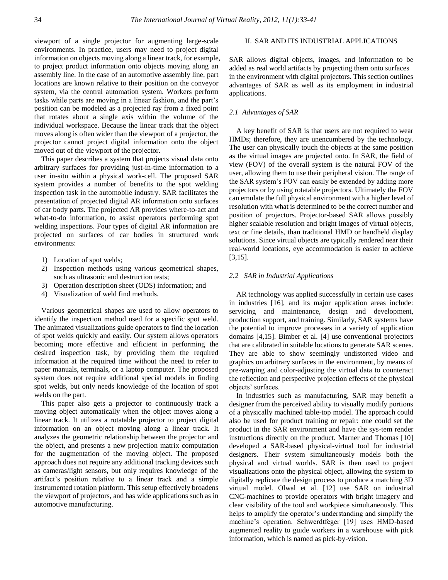viewport of a single projector for augmenting large-scale environments. In practice, users may need to project digital information on objects moving along a linear track, for example, to project product information onto objects moving along an assembly line. In the case of an automotive assembly line, part locations are known relative to their position on the conveyor system, via the central automation system. Workers perform tasks while parts are moving in a linear fashion, and the part's position can be modeled as a projected ray from a fixed point that rotates about a single axis within the volume of the individual workspace. Because the linear track that the object moves along is often wider than the viewport of a projector, the projector cannot project digital information onto the object moved out of the viewport of the projector.

This paper describes a system that projects visual data onto arbitrary surfaces for providing just-in-time information to a user in-situ within a physical work-cell. The proposed SAR system provides a number of benefits to the spot welding inspection task in the automobile industry. SAR facilitates the presentation of projected digital AR information onto surfaces of car body parts. The projected AR provides where-to-act and what-to-do information, to assist operators performing spot welding inspections. Four types of digital AR information are projected on surfaces of car bodies in structured work environments:

- 1) Location of spot welds;
- 2) Inspection methods using various geometrical shapes, such as ultrasonic and destruction tests;
- 3) Operation description sheet (ODS) information; and
- 4) Visualization of weld find methods.

Various geometrical shapes are used to allow operators to identify the inspection method used for a specific spot weld. The animated visualizations guide operators to find the location of spot welds quickly and easily. Our system allows operators becoming more effective and efficient in performing the desired inspection task, by providing them the required information at the required time without the need to refer to paper manuals, terminals, or a laptop computer. The proposed system does not require additional special models in finding spot welds, but only needs knowledge of the location of spot welds on the part.

This paper also gets a projector to continuously track a moving object automatically when the object moves along a linear track. It utilizes a rotatable projector to project digital information on an object moving along a linear track. It analyzes the geometric relationship between the projector and the object, and presents a new projection matrix computation for the augmentation of the moving object. The proposed approach does not require any additional tracking devices such as cameras/light sensors, but only requires knowledge of the artifact's position relative to a linear track and a simple instrumented rotation platform. This setup effectively broadens the viewport of projectors, and has wide applications such as in automotive manufacturing.

## II. SAR AND ITS INDUSTRIAL APPLICATIONS

SAR allows digital objects, images, and information to be added as real world artifacts by projecting them onto surfaces in the environment with digital projectors. This section outlines advantages of SAR as well as its employment in industrial applications.

## *2.1 Advantages of SAR*

A key benefit of SAR is that users are not required to wear HMDs; therefore, they are unencumbered by the technology. The user can physically touch the objects at the same position as the virtual images are projected onto. In SAR, the field of view (FOV) of the overall system is the natural FOV of the user, allowing them to use their peripheral vision. The range of the SAR system's FOV can easily be extended by adding more projectors or by using rotatable projectors. Ultimately the FOV can emulate the full physical environment with a higher level of resolution with what is determined to be the correct number and position of projectors. Projector-based SAR allows possibly higher scalable resolution and bright images of virtual objects, text or fine details, than traditional HMD or handheld display solutions. Since virtual objects are typically rendered near their real-world locations, eye accommodation is easier to achieve [3,15].

#### *2.2 SAR in Industrial Applications*

AR technology was applied successfully in certain use cases in industries [16], and its major application areas include: servicing and maintenance, design and development, production support, and training. Similarly, SAR systems have the potential to improve processes in a variety of application domains [4,15]. Bimber et al. [4] use conventional projectors that are calibrated in suitable locations to generate SAR scenes. They are able to show seemingly undistorted video and graphics on arbitrary surfaces in the environment, by means of pre-warping and color-adjusting the virtual data to counteract the reflection and perspective projection effects of the physical objects' surfaces.

In industries such as manufacturing, SAR may benefit a designer from the perceived ability to visually modify portions of a physically machined table-top model. The approach could also be used for product training or repair: one could set the product in the SAR environment and have the sys-tem render instructions directly on the product. Marner and Thomas [10] developed a SAR-based physical-virtual tool for industrial designers. Their system simultaneously models both the physical and virtual worlds. SAR is then used to project visualizations onto the physical object, allowing the system to digitally replicate the design process to produce a matching 3D virtual model. Olwal et al. [12] use SAR on industrial CNC-machines to provide operators with bright imagery and clear visibility of the tool and workpiece simultaneously. This helps to amplify the operator's understanding and simplify the machine's operation. Schwerdtfeger [19] uses HMD-based augmented reality to guide workers in a warehouse with pick information, which is named as pick-by-vision.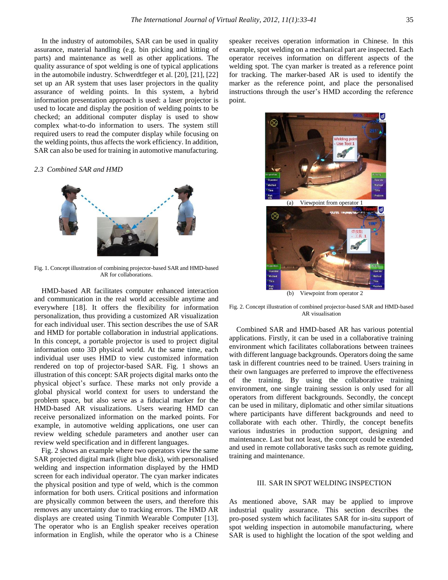In the industry of automobiles, SAR can be used in quality assurance, material handling (e.g. bin picking and kitting of parts) and maintenance as well as other applications. The quality assurance of spot welding is one of typical applications in the automobile industry. Schwerdtfeger et al. [20], [21], [22] set up an AR system that uses laser projectors in the quality assurance of welding points. In this system, a hybrid information presentation approach is used: a laser projector is used to locate and display the position of welding points to be checked; an additional computer display is used to show complex what-to-do information to users. The system still required users to read the computer display while focusing on the welding points, thus affects the work efficiency. In addition, SAR can also be used for training in automotive manufacturing.

#### *2.3 Combined SAR and HMD*



Fig. 1. Concept illustration of combining projector-based SAR and HMD-based AR for collaborations.

HMD-based AR facilitates computer enhanced interaction and communication in the real world accessible anytime and everywhere [18]. It offers the flexibility for information personalization, thus providing a customized AR visualization for each individual user. This section describes the use of SAR and HMD for portable collaboration in industrial applications. In this concept, a portable projector is used to project digital information onto 3D physical world. At the same time, each individual user uses HMD to view customized information rendered on top of projector-based SAR. Fig. 1 shows an illustration of this concept: SAR projects digital marks onto the physical object's surface. These marks not only provide a global physical world context for users to understand the problem space, but also serve as a fiducial marker for the HMD-based AR visualizations. Users wearing HMD can receive personalized information on the marked points. For example, in automotive welding applications, one user can review welding schedule parameters and another user can review weld specification and in different languages.

Fig. 2 shows an example where two operators view the same SAR projected digital mark (light blue disk), with personalised welding and inspection information displayed by the HMD screen for each individual operator. The cyan marker indicates the physical position and type of weld, which is the common information for both users. Critical positions and information are physically common between the users, and therefore this removes any uncertainty due to tracking errors. The HMD AR displays are created using Tinmith Wearable Computer [13]. The operator who is an English speaker receives operation information in English, while the operator who is a Chinese speaker receives operation information in Chinese. In this example, spot welding on a mechanical part are inspected. Each operator receives information on different aspects of the welding spot. The cyan marker is treated as a reference point for tracking. The marker-based AR is used to identify the marker as the reference point, and place the personalised instructions through the user's HMD according the reference point.



Fig. 2. Concept illustration of combined projector-based SAR and HMD-based AR visualisation

Combined SAR and HMD-based AR has various potential applications. Firstly, it can be used in a collaborative training environment which facilitates collaborations between trainees with different language backgrounds. Operators doing the same task in different countries need to be trained. Users training in their own languages are preferred to improve the effectiveness of the training. By using the collaborative training environment, one single training session is only used for all operators from different backgrounds. Secondly, the concept can be used in military, diplomatic and other similar situations where participants have different backgrounds and need to collaborate with each other. Thirdly, the concept benefits various industries in production support, designing and maintenance. Last but not least, the concept could be extended and used in remote collaborative tasks such as remote guiding, training and maintenance.

#### III. SAR IN SPOT WELDING INSPECTION

As mentioned above, SAR may be applied to improve industrial quality assurance. This section describes the pro-posed system which facilitates SAR for in-situ support of spot welding inspection in automobile manufacturing, where SAR is used to highlight the location of the spot welding and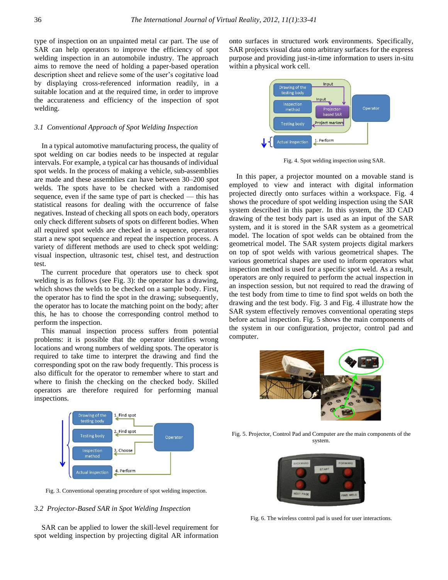type of inspection on an unpainted metal car part. The use of SAR can help operators to improve the efficiency of spot welding inspection in an automobile industry. The approach aims to remove the need of holding a paper-based operation description sheet and relieve some of the user's cogitative load by displaying cross-referenced information readily, in a suitable location and at the required time, in order to improve the accurateness and efficiency of the inspection of spot welding.

#### *3.1 Conventional Approach of Spot Welding Inspection*

In a typical automotive manufacturing process, the quality of spot welding on car bodies needs to be inspected at regular intervals. For example, a typical car has thousands of individual spot welds. In the process of making a vehicle, sub-assemblies are made and these assemblies can have between 30–200 spot welds. The spots have to be checked with a randomised sequence, even if the same type of part is checked — this has statistical reasons for dealing with the occurrence of false negatives. Instead of checking all spots on each body, operators only check different subsets of spots on different bodies. When all required spot welds are checked in a sequence, operators start a new spot sequence and repeat the inspection process. A variety of different methods are used to check spot welding: visual inspection, ultrasonic test, chisel test, and destruction test.

The current procedure that operators use to check spot welding is as follows (see Fig. 3): the operator has a drawing, which shows the welds to be checked on a sample body. First, the operator has to find the spot in the drawing; subsequently, the operator has to locate the matching point on the body; after this, he has to choose the corresponding control method to perform the inspection.

 This manual inspection process suffers from potential problems: it is possible that the operator identifies wrong locations and wrong numbers of welding spots. The operator is required to take time to interpret the drawing and find the corresponding spot on the raw body frequently. This process is also difficult for the operator to remember where to start and where to finish the checking on the checked body. Skilled operators are therefore required for performing manual inspections.

onto surfaces in structured work environments. Specifically, SAR projects visual data onto arbitrary surfaces for the express purpose and providing just-in-time information to users in-situ within a physical work cell.



Fig. 4. Spot welding inspection using SAR.

In this paper, a projector mounted on a movable stand is employed to view and interact with digital information projected directly onto surfaces within a workspace. Fig. 4 shows the procedure of spot welding inspection using the SAR system described in this paper. In this system, the 3D CAD drawing of the test body part is used as an input of the SAR system, and it is stored in the SAR system as a geometrical model. The location of spot welds can be obtained from the geometrical model. The SAR system projects digital markers on top of spot welds with various geometrical shapes. The various geometrical shapes are used to inform operators what inspection method is used for a specific spot weld. As a result, operators are only required to perform the actual inspection in an inspection session, but not required to read the drawing of the test body from time to time to find spot welds on both the drawing and the test body. Fig. 3 and Fig. 4 illustrate how the SAR system effectively removes conventional operating steps before actual inspection. Fig. 5 shows the main components of the system in our configuration, projector, control pad and computer.





Fig. 3. Conventional operating procedure of spot welding inspection.

## *3.2 Projector-Based SAR in Spot Welding Inspection*

SAR can be applied to lower the skill-level requirement for spot welding inspection by projecting digital AR information

Fig. 5. Projector, Control Pad and Computer are the main components of the system.



Fig. 6. The wireless control pad is used for user interactions.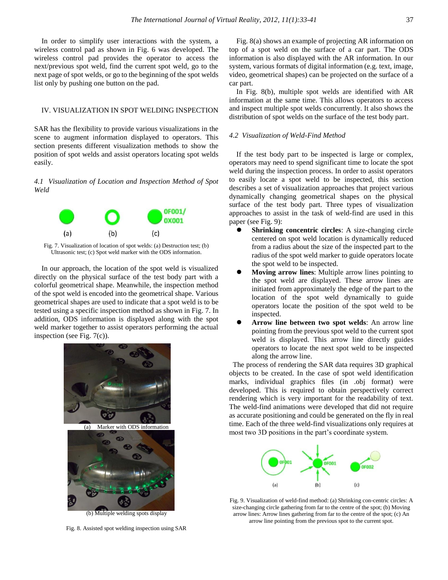In order to simplify user interactions with the system, a wireless control pad as shown in Fig. 6 was developed. The wireless control pad provides the operator to access the next/previous spot weld, find the current spot weld, go to the next page of spot welds, or go to the beginning of the spot welds list only by pushing one button on the pad.

#### IV. VISUALIZATION IN SPOT WELDING INSPECTION

SAR has the flexibility to provide various visualizations in the scene to augment information displayed to operators. This section presents different visualization methods to show the position of spot welds and assist operators locating spot welds easily.

*4.1 Visualization of Location and Inspection Method of Spot Weld*



Fig. 7. Visualization of location of spot welds: (a) Destruction test; (b) Ultrasonic test; (c) Spot weld marker with the ODS information.

In our approach, the location of the spot weld is visualized directly on the physical surface of the test body part with a colorful geometrical shape. Meanwhile, the inspection method of the spot weld is encoded into the geometrical shape. Various geometrical shapes are used to indicate that a spot weld is to be tested using a specific inspection method as shown in Fig. 7. In addition, ODS information is displayed along with the spot weld marker together to assist operators performing the actual inspection (see Fig. 7(c)).



(b) Multiple welding spots display

Fig. 8. Assisted spot welding inspection using SAR

Fig. 8(a) shows an example of projecting AR information on top of a spot weld on the surface of a car part. The ODS information is also displayed with the AR information. In our system, various formats of digital information (e.g. text, image, video, geometrical shapes) can be projected on the surface of a car part.

In Fig. 8(b), multiple spot welds are identified with AR information at the same time. This allows operators to access and inspect multiple spot welds concurrently. It also shows the distribution of spot welds on the surface of the test body part.

## *4.2 Visualization of Weld-Find Method*

If the test body part to be inspected is large or complex, operators may need to spend significant time to locate the spot weld during the inspection process. In order to assist operators to easily locate a spot weld to be inspected, this section describes a set of visualization approaches that project various dynamically changing geometrical shapes on the physical surface of the test body part. Three types of visualization approaches to assist in the task of weld-find are used in this paper (see Fig. 9):

- **Shrinking concentric circles**: A size-changing circle centered on spot weld location is dynamically reduced from a radius about the size of the inspected part to the radius of the spot weld marker to guide operators locate the spot weld to be inspected.
- **Moving arrow lines**: Multiple arrow lines pointing to the spot weld are displayed. These arrow lines are initiated from approximately the edge of the part to the location of the spot weld dynamically to guide operators locate the position of the spot weld to be inspected.
- **Arrow line between two spot welds**: An arrow line pointing from the previous spot weld to the current spot weld is displayed. This arrow line directly guides operators to locate the next spot weld to be inspected along the arrow line.

 The process of rendering the SAR data requires 3D graphical objects to be created. In the case of spot weld identification marks, individual graphics files (in .obj format) were developed. This is required to obtain perspectively correct rendering which is very important for the readability of text. The weld-find animations were developed that did not require as accurate positioning and could be generated on the fly in real time. Each of the three weld-find visualizations only requires at most two 3D positions in the part's coordinate system.



Fig. 9. Visualization of weld-find method: (a) Shrinking con-centric circles: A size-changing circle gathering from far to the centre of the spot; (b) Moving arrow lines: Arrow lines gathering from far to the centre of the spot; (c) An arrow line pointing from the previous spot to the current spot.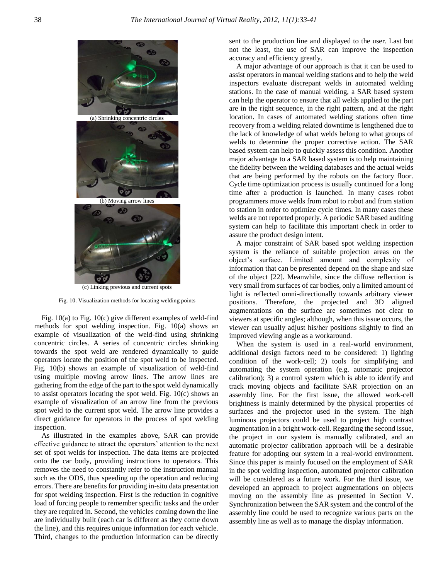

(c) Linking previous and current spots

Fig. 10. Visualization methods for locating welding points

Fig. 10(a) to Fig. 10(c) give different examples of weld-find methods for spot welding inspection. Fig. 10(a) shows an example of visualization of the weld-find using shrinking concentric circles. A series of concentric circles shrinking towards the spot weld are rendered dynamically to guide operators locate the position of the spot weld to be inspected. Fig. 10(b) shows an example of visualization of weld-find using multiple moving arrow lines. The arrow lines are gathering from the edge of the part to the spot weld dynamically to assist operators locating the spot weld. Fig. 10(c) shows an example of visualization of an arrow line from the previous spot weld to the current spot weld. The arrow line provides a direct guidance for operators in the process of spot welding inspection.

 As illustrated in the examples above, SAR can provide effective guidance to attract the operators' attention to the next set of spot welds for inspection. The data items are projected onto the car body, providing instructions to operators. This removes the need to constantly refer to the instruction manual such as the ODS, thus speeding up the operation and reducing errors. There are benefits for providing in-situ data presentation for spot welding inspection. First is the reduction in cognitive load of forcing people to remember specific tasks and the order they are required in. Second, the vehicles coming down the line are individually built (each car is different as they come down the line), and this requires unique information for each vehicle. Third, changes to the production information can be directly sent to the production line and displayed to the user. Last but not the least, the use of SAR can improve the inspection accuracy and efficiency greatly.

 A major advantage of our approach is that it can be used to assist operators in manual welding stations and to help the weld inspectors evaluate discrepant welds in automated welding stations. In the case of manual welding, a SAR based system can help the operator to ensure that all welds applied to the part are in the right sequence, in the right pattern, and at the right location. In cases of automated welding stations often time recovery from a welding related downtime is lengthened due to the lack of knowledge of what welds belong to what groups of welds to determine the proper corrective action. The SAR based system can help to quickly assess this condition. Another major advantage to a SAR based system is to help maintaining the fidelity between the welding databases and the actual welds that are being performed by the robots on the factory floor. Cycle time optimization process is usually continued for a long time after a production is launched. In many cases robot programmers move welds from robot to robot and from station to station in order to optimize cycle times. In many cases these welds are not reported properly. A periodic SAR based auditing system can help to facilitate this important check in order to assure the product design intent.

A major constraint of SAR based spot welding inspection system is the reliance of suitable projection areas on the object's surface. Limited amount and complexity of information that can be presented depend on the shape and size of the object [22]. Meanwhile, since the diffuse reflection is very small from surfaces of car bodies, only a limited amount of light is reflected omni-directionally towards arbitrary viewer positions. Therefore, the projected and 3D aligned augmentations on the surface are sometimes not clear to viewers at specific angles; although, when this issue occurs, the viewer can usually adjust his/her positions slightly to find an improved viewing angle as a workaround.

When the system is used in a real-world environment, additional design factors need to be considered: 1) lighting condition of the work-cell; 2) tools for simplifying and automating the system operation (e.g. automatic projector calibration); 3) a control system which is able to identify and track moving objects and facilitate SAR projection on an assembly line. For the first issue, the allowed work-cell brightness is mainly determined by the physical properties of surfaces and the projector used in the system. The high luminous projectors could be used to project high contrast augmentation in a bright work-cell. Regarding the second issue, the project in our system is manually calibrated, and an automatic projector calibration approach will be a desirable feature for adopting our system in a real-world environment. Since this paper is mainly focused on the employment of SAR in the spot welding inspection, automated projector calibration will be considered as a future work. For the third issue, we developed an approach to project augmentations on objects moving on the assembly line as presented in Section V. Synchronization between the SAR system and the control of the assembly line could be used to recognize various parts on the assembly line as well as to manage the display information.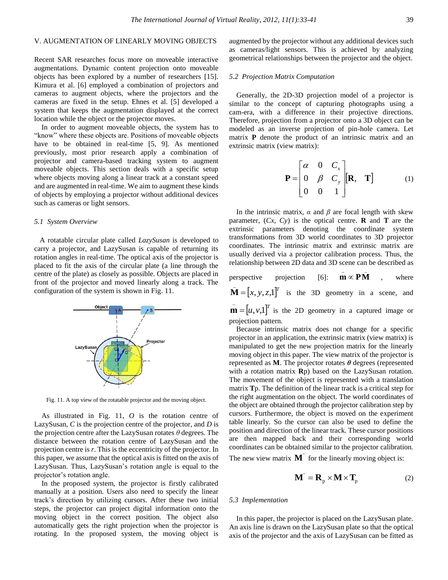# V. AUGMENTATION OF LINEARLY MOVING OBJECTS

Recent SAR researches focus more on moveable interactive augmentations. Dynamic content projection onto moveable objects has been explored by a number of researchers [15]. Kimura et al. [6] employed a combination of projectors and cameras to augment objects, where the projectors and the cameras are fixed in the setup. Ehnes et al. [5] developed a system that keeps the augmentation displayed at the correct location while the object or the projector moves.

In order to augment moveable objects, the system has to "know" where these objects are. Positions of moveable objects have to be obtained in real-time [5, 9]. As mentioned previously, most prior research apply a combination of projector and camera-based tracking system to augment moveable objects. This section deals with a specific setup where objects moving along a linear track at a constant speed and are augmented in real-time. We aim to augment these kinds of objects by employing a projector without additional devices such as cameras or light sensors.

## *5.1 System Overview*

 A rotatable circular plate called *LazySusan* is developed to carry a projector, and LazySusan is capable of returning its rotation angles in real-time. The optical axis of the projector is placed to fit the axis of the circular plate (a line through the centre of the plate) as closely as possible. Objects are placed in front of the projector and moved linearly along a track. The configuration of the system is shown in Fig. 11.



Fig. 11. A top view of the rotatable projector and the moving object.

As illustrated in Fig. 11, *O* is the rotation centre of LazySusan, *C* is the projection centre of the projector, and *D* is the projection centre after the LazySusan rotates *θ* degrees. The distance between the rotation centre of LazySusan and the projection centre is *r*. This is the eccentricity of the projector. In this paper, we assume that the optical axis is fitted on the axis of LazySusan. Thus, LazySusan's rotation angle is equal to the projector's rotation angle.

In the proposed system, the projector is firstly calibrated manually at a position. Users also need to specify the linear track's direction by utilizing cursors. After these two initial steps, the projector can project digital information onto the moving object in the correct position. The object also automatically gets the right projection when the projector is rotating. In the proposed system, the moving object is

augmented by the projector without any additional devices such as cameras/light sensors. This is achieved by analyzing geometrical relationships between the projector and the object.

#### *5.2 Projection Matrix Computation*

Generally, the 2D-3D projection model of a projector is similar to the concept of capturing photographs using a cam-era, with a difference in their projective directions. Therefore, projection from a projector onto a 3D object can be modeled as an inverse projection of pin-hole camera. Let matrix **P** denote the product of an intrinsic matrix and an extrinsic matrix (view matrix):

$$
\mathbf{P} = \begin{bmatrix} \alpha & 0 & C_x \\ 0 & \beta & C_y \\ 0 & 0 & 1 \end{bmatrix} [\mathbf{R}, \mathbf{T}] \tag{1}
$$

 $\overline{\phantom{a}}$   $\overline{\phantom{a}}$ 

In the intrinsic matrix,  $\alpha$  and  $\beta$  are focal length with skew parameter,  $(Cx, Cy)$  is the optical centre. **R** and **T** are the extrinsic parameters denoting the coordinate system transformations from 3D world coordinates to 3D projector coordinates. The intrinsic matrix and extrinsic matrix are usually derived via a projector calibration process. Thus, the relationship between 2D data and 3D scene can be described as

perspective projection [6]:  $m \propto PM$ where  $\overline{\mathbf{M}} = [x, y, z, 1]^T$  is the 3D geometry in a scene, and  $\mathbf{m} = [u, v, 1]^T$  is the 2D geometry in a captured image or projection pattern.

Because intrinsic matrix does not change for a specific projector in an application, the extrinsic matrix (view matrix) is manipulated to get the new projection matrix for the linearly moving object in this paper. The view matrix of the projector is represented as **M**. The projector rotates *θ* degrees (represented with a rotation matrix **R**p) based on the LazySusan rotation. The movement of the object is represented with a translation matrix **T**p. The definition of the linear track is a critical step for the right augmentation on the object. The world coordinates of the object are obtained through the projector calibration step by cursors. Furthermore, the object is moved on the experiment table linearly. So the cursor can also be used to define the position and direction of the linear track. These cursor positions are then mapped back and their corresponding world coordinates can be obtained similar to the projector calibration.

The new view matrix  $M'$  for the linearly moving object is:

$$
\mathbf{M}^{\prime} = \mathbf{R}_{p} \times \mathbf{M} \times \mathbf{T}_{p}
$$
 (2)

#### *5.3 Implementation*

In this paper, the projector is placed on the LazySusan plate. An axis line is drawn on the LazySusan plate so that the optical axis of the projector and the axis of LazySusan can be fitted as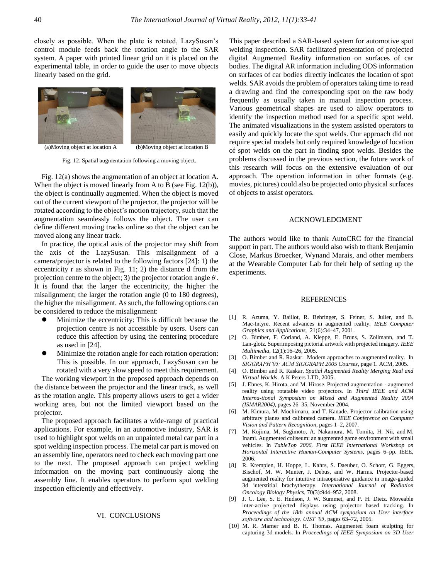closely as possible. When the plate is rotated, LazySusan's control module feeds back the rotation angle to the SAR system. A paper with printed linear grid on it is placed on the experimental table, in order to guide the user to move objects linearly based on the grid.



Fig. 12. Spatial augmentation following a moving object.

Fig. 12(a) shows the augmentation of an object at location A. When the object is moved linearly from A to B (see Fig. 12(b)), the object is continually augmented. When the object is moved out of the current viewport of the projector, the projector will be rotated according to the object's motion trajectory, such that the augmentation seamlessly follows the object. The user can define different moving tracks online so that the object can be moved along any linear track.

In practice, the optical axis of the projector may shift from the axis of the LazySusan. This misalignment of a camera/projector is related to the following factors [24]: 1) the eccentricity r as shown in Fig. 11; 2) the distance d from the projection centre to the object; 3) the projector rotation angle *θ* . It is found that the larger the eccentricity, the higher the misalignment; the larger the rotation angle (0 to 180 degrees), the higher the misalignment. As such, the following options can be considered to reduce the misalignment:

- Minimize the eccentricity: This is difficult because the projection centre is not accessible by users. Users can reduce this affection by using the centering procedure as used in [24].
- Minimize the rotation angle for each rotation operation: This is possible. In our approach, LazySusan can be rotated with a very slow speed to meet this requirement.

The working viewport in the proposed approach depends on the distance between the projector and the linear track, as well as the rotation angle. This property allows users to get a wider working area, but not the limited viewport based on the projector.

The proposed approach facilitates a wide-range of practical applications. For example, in an automotive industry, SAR is used to highlight spot welds on an unpainted metal car part in a spot welding inspection process. The metal car part is moved on an assembly line, operators need to check each moving part one to the next. The proposed approach can project welding information on the moving part continuously along the assembly line. It enables operators to perform spot welding inspection efficiently and effectively.

## VI. CONCLUSIONS

This paper described a SAR-based system for automotive spot welding inspection. SAR facilitated presentation of projected digital Augmented Reality information on surfaces of car bodies. The digital AR information including ODS information on surfaces of car bodies directly indicates the location of spot welds. SAR avoids the problem of operators taking time to read a drawing and find the corresponding spot on the raw body frequently as usually taken in manual inspection process. Various geometrical shapes are used to allow operators to identify the inspection method used for a specific spot weld. The animated visualizations in the system assisted operators to easily and quickly locate the spot welds. Our approach did not require special models but only required knowledge of location of spot welds on the part in finding spot welds. Besides the problems discussed in the previous section, the future work of this research will focus on the extensive evaluation of our approach. The operation information in other formats (e.g. movies, pictures) could also be projected onto physical surfaces of objects to assist operators.

#### ACKNOWLEDGMENT

The authors would like to thank AutoCRC for the financial support in part. The authors would also wish to thank Benjamin Close, Markus Broecker, Wynand Marais, and other members at the Wearable Computer Lab for their help of setting up the experiments.

#### REFERENCES

- [1] R. Azuma, Y. Baillot, R. Behringer, S. Feiner, S. Julier, and B. Mac-Intyre. Recent advances in augmented reality. *IEEE Computer Graphics and Applications,* 21(6):34–47, 2001.
- [2] O. Bimber, F. Coriand, A. Kleppe, E. Bruns, S. Zollmann, and T. Lan-glotz. Superimposing pictorial artwork with projected imagery. *IEEE Multimedia*, 12(1):16–26, 2005.
- [3] O. Bimber and R. Raskar. Modern approaches to augmented reality. In *SIGGRAPH'05: ACM SIGGRAPH 2005 Courses*, page 1. ACM, 2005.
- [4] O. Bimber and R. Raskar. *Spatial Augmented Reality Merging Real and Virtual Worlds*. A K Peters LTD, 2005.
- [5] J. Ehnes, K. Hirota, and M. Hirose. Projected augmentation augmented reality using rotatable video projectors. In *Third IEEE and ACM Interna-tional Symposium on Mixed and Augmented Reality 2004 (ISMAR2004)*, pages 26–35, November 2004.
- [6] M. Kimura, M. Mochimaru, and T. Kanade. Projector calibration using arbitrary planes and calibrated camera. *IEEE Conference on Computer Vision and Pattern Recognition*, pages 1–2, 2007.
- [7] M. Kojima, M. Sugimoto, A. Nakamura, M. Tomita, H. Nii, and M. Inami. Augmented coliseum: an augmented game environment with small vehicles. In *TableTop 2006. First IEEE International Workshop on Horizontal Interactive Human-Computer Systems*, pages 6–pp. IEEE, 2006.
- [8] R. Krempien, H. Hoppe, L. Kahrs, S. Daeuber, O. Schorr, G. Eggers, Bischof, M. W. Munter, J. Debus, and W. Harms. Projector-based augmented reality for intuitive intraoperative guidance in image-guided 3d interstitial brachytherapy. *International Journal of Radiation Oncology Biology Physics*, 70(3):944–952, 2008.
- [9] J. C. Lee, S. E. Hudson, J. W. Summet, and P. H. Dietz. Moveable inter-active projected displays using projector based tracking. In *Proceedings of the 18th annual ACM symposium on User interface software and technology, UIST '05*, pages 63–72, 2005.
- [10] M. R. Marner and B. H. Thomas. Augmented foam sculpting for capturing 3d models. In *Proceedings of IEEE Symposium on 3D User*